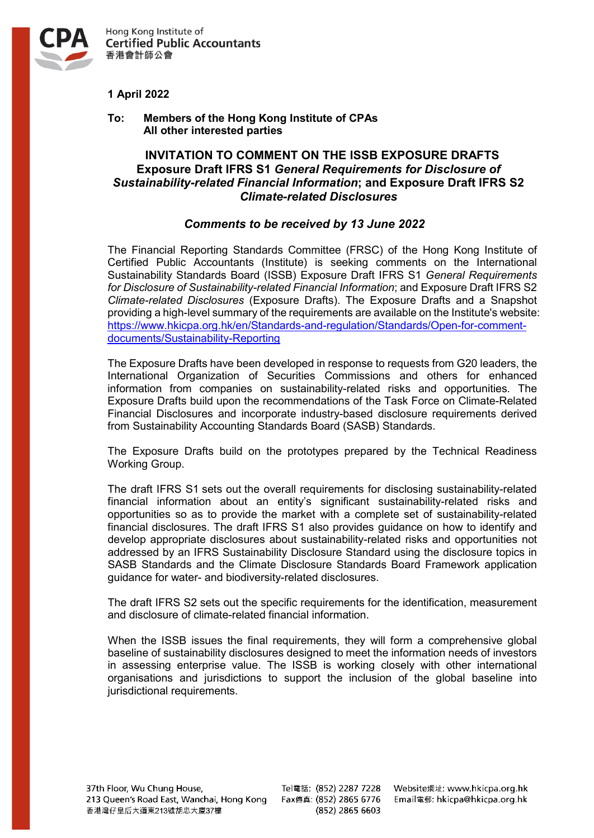

Hong Kong Institute of **Certified Public Accountants** 香港會計師公會

## **1 April 2022**

**To: Members of the Hong Kong Institute of CPAs All other interested parties**

## **INVITATION TO COMMENT ON THE ISSB EXPOSURE DRAFTS Exposure Draft IFRS S1** *General Requirements for Disclosure of Sustainability-related Financial Information***; and Exposure Draft IFRS S2**  *Climate-related Disclosures*

## *Comments to be received by 13 June 2022*

The Financial Reporting Standards Committee (FRSC) of the Hong Kong Institute of Certified Public Accountants (Institute) is seeking comments on the International Sustainability Standards Board (ISSB) Exposure Draft IFRS S1 *General Requirements for Disclosure of Sustainability-related Financial Information*; and Exposure Draft IFRS S2 *Climate-related Disclosures* (Exposure Drafts). The Exposure Drafts and a Snapshot providing a high-level summary of the requirements are available on the Institute's website: [https://www.hkicpa.org.hk/en/Standards-and-regulation/Standards/Open-for-comment](https://www.hkicpa.org.hk/en/Standards-and-regulation/Standards/Open-for-comment-documents/Sustainability-Reporting)[documents/Sustainability-Reporting](https://www.hkicpa.org.hk/en/Standards-and-regulation/Standards/Open-for-comment-documents/Sustainability-Reporting)

The Exposure Drafts have been developed in response to requests from G20 leaders, the International Organization of Securities Commissions and others for enhanced information from companies on sustainability-related risks and opportunities. The Exposure Drafts build upon the recommendations of the Task Force on Climate-Related Financial Disclosures and incorporate industry-based disclosure requirements derived from Sustainability Accounting Standards Board (SASB) Standards.

The Exposure Drafts build on the prototypes prepared by the Technical Readiness Working Group.

The draft IFRS S1 sets out the overall requirements for disclosing sustainability-related financial information about an entity's significant sustainability-related risks and opportunities so as to provide the market with a complete set of sustainability-related financial disclosures. The draft IFRS S1 also provides guidance on how to identify and develop appropriate disclosures about sustainability-related risks and opportunities not addressed by an IFRS Sustainability Disclosure Standard using the disclosure topics in SASB Standards and the Climate Disclosure Standards Board Framework application guidance for water- and biodiversity-related disclosures.

The draft IFRS S2 sets out the specific requirements for the identification, measurement and disclosure of climate-related financial information.

When the ISSB issues the final requirements, they will form a comprehensive global baseline of sustainability disclosures designed to meet the information needs of investors in assessing enterprise value. The ISSB is working closely with other international organisations and jurisdictions to support the inclusion of the global baseline into jurisdictional requirements.

Tel電話: (852) 2287 7228 (852) 2865 6603